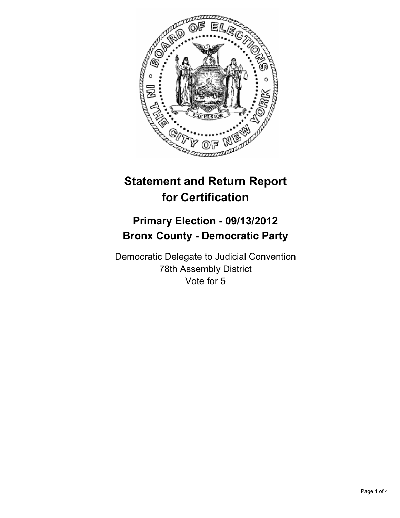

# **Statement and Return Report for Certification**

## **Primary Election - 09/13/2012 Bronx County - Democratic Party**

Democratic Delegate to Judicial Convention 78th Assembly District Vote for 5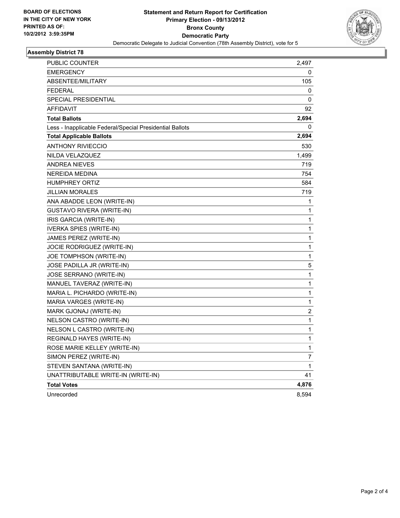

#### **Assembly District 78**

| PUBLIC COUNTER                                           | 2,497 |
|----------------------------------------------------------|-------|
| EMERGENCY                                                | 0     |
| <b>ABSENTEE/MILITARY</b>                                 | 105   |
| <b>FEDERAL</b>                                           | 0     |
| SPECIAL PRESIDENTIAL                                     | 0     |
| <b>AFFIDAVIT</b>                                         | 92    |
| <b>Total Ballots</b>                                     | 2,694 |
| Less - Inapplicable Federal/Special Presidential Ballots | 0     |
| <b>Total Applicable Ballots</b>                          | 2,694 |
| <b>ANTHONY RIVIECCIO</b>                                 | 530   |
| NILDA VELAZQUEZ                                          | 1,499 |
| <b>ANDREA NIEVES</b>                                     | 719   |
| NEREIDA MEDINA                                           | 754   |
| <b>HUMPHREY ORTIZ</b>                                    | 584   |
| <b>JILLIAN MORALES</b>                                   | 719   |
| ANA ABADDE LEON (WRITE-IN)                               | 1     |
| <b>GUSTAVO RIVERA (WRITE-IN)</b>                         | 1     |
| IRIS GARCIA (WRITE-IN)                                   | 1     |
| <b>IVERKA SPIES (WRITE-IN)</b>                           | 1     |
| JAMES PEREZ (WRITE-IN)                                   | 1     |
| JOCIE RODRIGUEZ (WRITE-IN)                               | 1     |
| JOE TOMPHSON (WRITE-IN)                                  | 1     |
| JOSE PADILLA JR (WRITE-IN)                               | 5     |
| JOSE SERRANO (WRITE-IN)                                  | 1     |
| MANUEL TAVERAZ (WRITE-IN)                                | 1     |
| MARIA L. PICHARDO (WRITE-IN)                             | 1     |
| MARIA VARGES (WRITE-IN)                                  | 1     |
| MARK GJONAJ (WRITE-IN)                                   | 2     |
| NELSON CASTRO (WRITE-IN)                                 | 1     |
| NELSON L CASTRO (WRITE-IN)                               | 1     |
| REGINALD HAYES (WRITE-IN)                                | 1     |
| ROSE MARIE KELLEY (WRITE-IN)                             | 1     |
| SIMON PEREZ (WRITE-IN)                                   | 7     |
| STEVEN SANTANA (WRITE-IN)                                | 1     |
| UNATTRIBUTABLE WRITE-IN (WRITE-IN)                       | 41    |
| <b>Total Votes</b>                                       | 4,876 |
| Unrecorded                                               | 8,594 |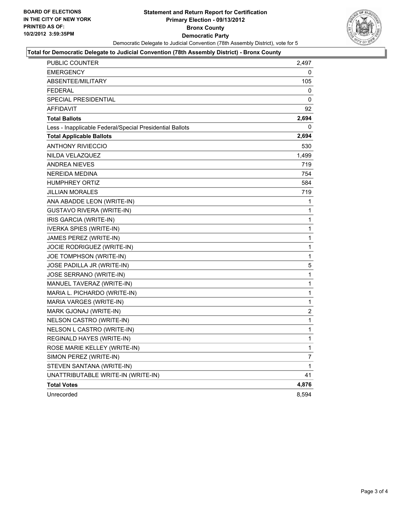

#### **Total for Democratic Delegate to Judicial Convention (78th Assembly District) - Bronx County**

| <b>PUBLIC COUNTER</b>                                    | 2,497          |
|----------------------------------------------------------|----------------|
| <b>EMERGENCY</b>                                         | 0              |
| <b>ABSENTEE/MILITARY</b>                                 | 105            |
| <b>FEDERAL</b>                                           | 0              |
| <b>SPECIAL PRESIDENTIAL</b>                              | 0              |
| <b>AFFIDAVIT</b>                                         | 92             |
| <b>Total Ballots</b>                                     | 2,694          |
| Less - Inapplicable Federal/Special Presidential Ballots | 0              |
| <b>Total Applicable Ballots</b>                          | 2,694          |
| <b>ANTHONY RIVIECCIO</b>                                 | 530            |
| NILDA VELAZQUEZ                                          | 1,499          |
| ANDREA NIEVES                                            | 719            |
| NEREIDA MEDINA                                           | 754            |
| <b>HUMPHREY ORTIZ</b>                                    | 584            |
| JILLIAN MORALES                                          | 719            |
| ANA ABADDE LEON (WRITE-IN)                               | 1              |
| <b>GUSTAVO RIVERA (WRITE-IN)</b>                         | 1              |
| IRIS GARCIA (WRITE-IN)                                   | 1              |
| <b>IVERKA SPIES (WRITE-IN)</b>                           | 1              |
| JAMES PEREZ (WRITE-IN)                                   | $\mathbf{1}$   |
| JOCIE RODRIGUEZ (WRITE-IN)                               | $\mathbf{1}$   |
| JOE TOMPHSON (WRITE-IN)                                  | $\mathbf{1}$   |
| JOSE PADILLA JR (WRITE-IN)                               | 5              |
| JOSE SERRANO (WRITE-IN)                                  | $\mathbf{1}$   |
| MANUEL TAVERAZ (WRITE-IN)                                | 1              |
| MARIA L. PICHARDO (WRITE-IN)                             | 1              |
| MARIA VARGES (WRITE-IN)                                  | 1              |
| MARK GJONAJ (WRITE-IN)                                   | $\overline{2}$ |
| NELSON CASTRO (WRITE-IN)                                 | 1              |
| NELSON L CASTRO (WRITE-IN)                               | 1              |
| REGINALD HAYES (WRITE-IN)                                | 1              |
| ROSE MARIE KELLEY (WRITE-IN)                             | 1              |
| SIMON PEREZ (WRITE-IN)                                   | 7              |
| STEVEN SANTANA (WRITE-IN)                                | $\mathbf{1}$   |
| UNATTRIBUTABLE WRITE-IN (WRITE-IN)                       | 41             |
| <b>Total Votes</b>                                       | 4,876          |
| Unrecorded                                               | 8,594          |